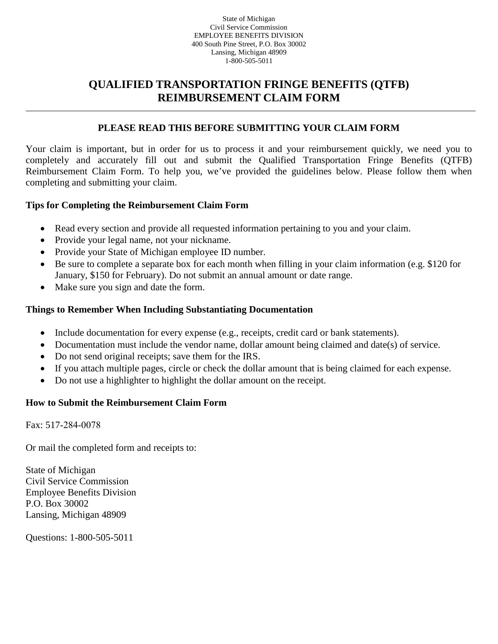#### State of Michigan Civil Service Commission EMPLOYEE BENEFITS DIVISION 400 South Pine Street, P.O. Box 30002 Lansing, Michigan 48909 1-800-505-5011

## **QUALIFIED TRANSPORTATION FRINGE BENEFITS (QTFB) REIMBURSEMENT CLAIM FORM**

### **PLEASE READ THIS BEFORE SUBMITTING YOUR CLAIM FORM**

Your claim is important, but in order for us to process it and your reimbursement quickly, we need you to completely and accurately fill out and submit the Qualified Transportation Fringe Benefits (QTFB) Reimbursement Claim Form. To help you, we've provided the guidelines below. Please follow them when completing and submitting your claim.

#### **Tips for Completing the Reimbursement Claim Form**

- Read every section and provide all requested information pertaining to you and your claim.
- Provide your legal name, not your nickname.
- Provide your State of Michigan employee ID number.
- Be sure to complete a separate box for each month when filling in your claim information (e.g. \$120 for January, \$150 for February). Do not submit an annual amount or date range.
- Make sure you sign and date the form.

#### **Things to Remember When Including Substantiating Documentation**

- Include documentation for every expense (e.g., receipts, credit card or bank statements).
- Documentation must include the vendor name, dollar amount being claimed and date(s) of service.
- Do not send original receipts; save them for the IRS.
- If you attach multiple pages, circle or check the dollar amount that is being claimed for each expense.
- Do not use a highlighter to highlight the dollar amount on the receipt.

### **How to Submit the Reimbursement Claim Form**

Fax: 517-284-0078

Or mail the completed form and receipts to:

State of Michigan Civil Service Commission Employee Benefits Division P.O. Box 30002 Lansing, Michigan 48909

Questions: 1-800-505-5011